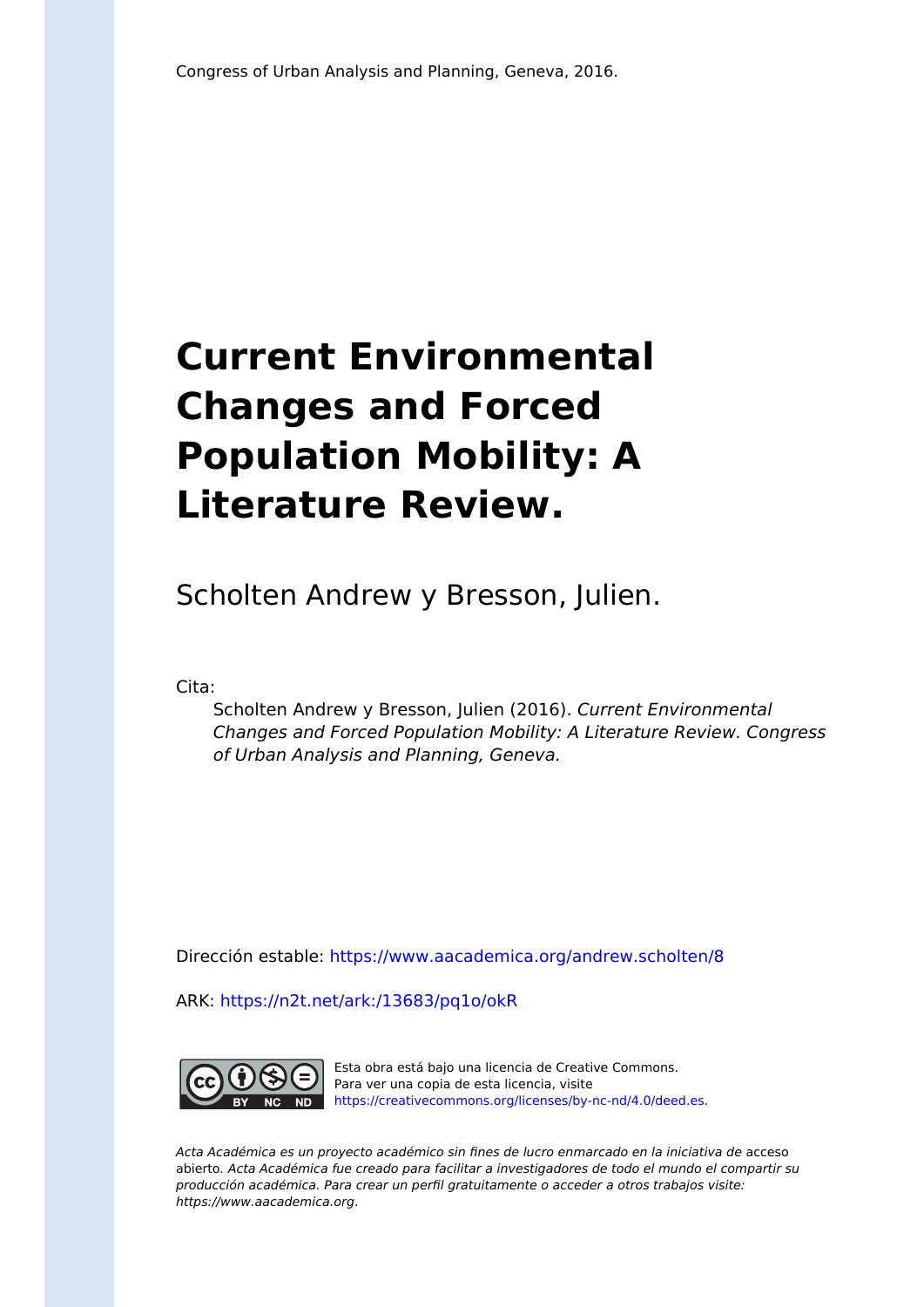## **Current Environmental Changes and Forced Population Mobility: A Literature Review.**

Scholten Andrew y Bresson, Julien.

Cita:

Scholten Andrew y Bresson, Julien (2016). Current Environmental Changes and Forced Population Mobility: A Literature Review. Congress of Urban Analysis and Planning, Geneva.

Dirección estable:<https://www.aacademica.org/andrew.scholten/8>

ARK: <https://n2t.net/ark:/13683/pq1o/okR>



Esta obra está bajo una licencia de Creative Commons. Para ver una copia de esta licencia, visite [https://creativecommons.org/licenses/by-nc-nd/4.0/deed.es.](https://creativecommons.org/licenses/by-nc-nd/4.0/deed.es)

Acta Académica es un proyecto académico sin fines de lucro enmarcado en la iniciativa de acceso abierto. Acta Académica fue creado para facilitar a investigadores de todo el mundo el compartir su producción académica. Para crear un perfil gratuitamente o acceder a otros trabajos visite: https://www.aacademica.org.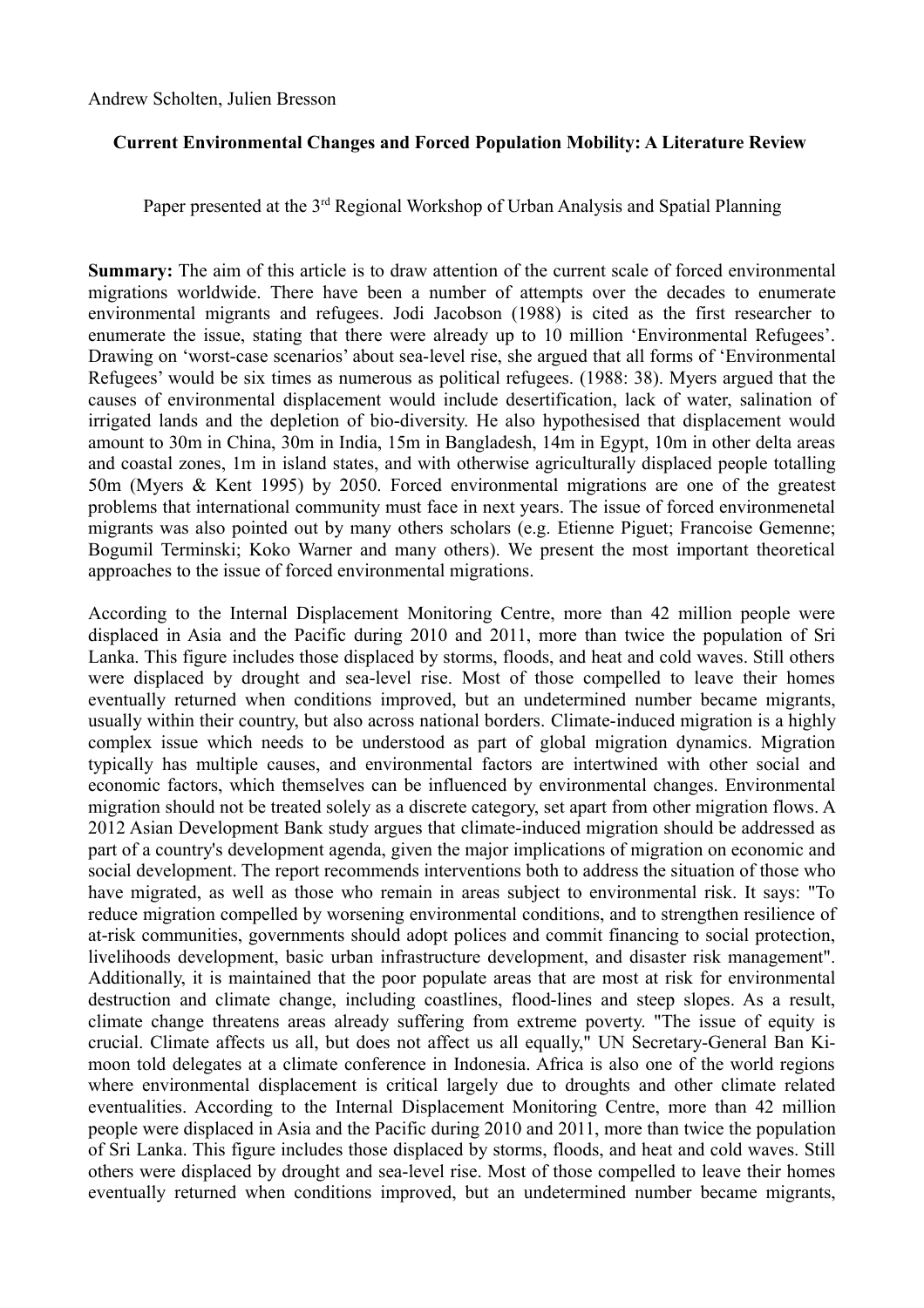Andrew Scholten, Julien Bresson

## **Current Environmental Changes and Forced Population Mobility: A Literature Review**

Paper presented at the 3<sup>rd</sup> Regional Workshop of Urban Analysis and Spatial Planning

**Summary:** The aim of this article is to draw attention of the current scale of forced environmental migrations worldwide. There have been a number of attempts over the decades to enumerate environmental migrants and refugees. Jodi Jacobson (1988) is cited as the first researcher to enumerate the issue, stating that there were already up to 10 million 'Environmental Refugees'. Drawing on 'worst-case scenarios' about sea-level rise, she argued that all forms of 'Environmental Refugees' would be six times as numerous as political refugees. (1988: 38). Myers argued that the causes of environmental displacement would include desertification, lack of water, salination of irrigated lands and the depletion of bio-diversity. He also hypothesised that displacement would amount to 30m in China, 30m in India, 15m in Bangladesh, 14m in Egypt, 10m in other delta areas and coastal zones, 1m in island states, and with otherwise agriculturally displaced people totalling 50m (Myers & Kent 1995) by 2050. Forced environmental migrations are one of the greatest problems that international community must face in next years. The issue of forced environmenetal migrants was also pointed out by many others scholars (e.g. Etienne Piguet; Francoise Gemenne; Bogumil Terminski; Koko Warner and many others). We present the most important theoretical approaches to the issue of forced environmental migrations.

According to the Internal Displacement Monitoring Centre, more than 42 million people were displaced in Asia and the Pacific during 2010 and 2011, more than twice the population of Sri Lanka. This figure includes those displaced by storms, floods, and heat and cold waves. Still others were displaced by drought and sea-level rise. Most of those compelled to leave their homes eventually returned when conditions improved, but an undetermined number became migrants, usually within their country, but also across national borders. Climate-induced migration is a highly complex issue which needs to be understood as part of global migration dynamics. Migration typically has multiple causes, and environmental factors are intertwined with other social and economic factors, which themselves can be influenced by environmental changes. Environmental migration should not be treated solely as a discrete category, set apart from other migration flows. A 2012 Asian Development Bank study argues that climate-induced migration should be addressed as part of a country's development agenda, given the major implications of migration on economic and social development. The report recommends interventions both to address the situation of those who have migrated, as well as those who remain in areas subject to environmental risk. It says: "To reduce migration compelled by worsening environmental conditions, and to strengthen resilience of at-risk communities, governments should adopt polices and commit financing to social protection, livelihoods development, basic urban infrastructure development, and disaster risk management". Additionally, it is maintained that the poor populate areas that are most at risk for environmental destruction and climate change, including coastlines, flood-lines and steep slopes. As a result, climate change threatens areas already suffering from extreme poverty. "The issue of equity is crucial. Climate affects us all, but does not affect us all equally," UN Secretary-General Ban Kimoon told delegates at a climate conference in Indonesia. Africa is also one of the world regions where environmental displacement is critical largely due to droughts and other climate related eventualities. According to the Internal Displacement Monitoring Centre, more than 42 million people were displaced in Asia and the Pacific during 2010 and 2011, more than twice the population of Sri Lanka. This figure includes those displaced by storms, floods, and heat and cold waves. Still others were displaced by drought and sea-level rise. Most of those compelled to leave their homes eventually returned when conditions improved, but an undetermined number became migrants,